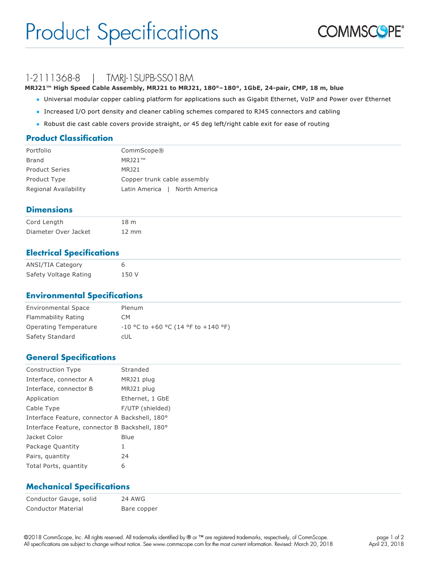

## 1-2111368-8 | TMRI-1SUPB-SS018M

**MRJ21™ High Speed Cable Assembly, MRJ21 to MRJ21, 180°–180°, 1GbE, 24-pair, CMP, 18 m, blue**

- l Universal modular copper cabling platform for applications such as Gigabit Ethernet, VoIP and Power over Ethernet
- l Increased I/O port density and cleaner cabling schemes compared to RJ45 connectors and cabling
- Robust die cast cable covers provide straight, or 45 deg left/right cable exit for ease of routing

#### **Product Classification**

| Portfolio             | CommScope®                    |
|-----------------------|-------------------------------|
| Brand                 | MR121™                        |
| <b>Product Series</b> | <b>MRJ21</b>                  |
| Product Type          | Copper trunk cable assembly   |
| Regional Availability | Latin America   North America |

#### **Dimensions**

| Cord Length          | 18 <sub>m</sub> |
|----------------------|-----------------|
| Diameter Over Jacket | $12 \text{ mm}$ |

#### **Electrical Specifications**

| ANSI/TIA Category     |       |
|-----------------------|-------|
| Safety Voltage Rating | 150 V |

#### **Environmental Specifications**

| <b>Environmental Space</b> | Plenum                                    |
|----------------------------|-------------------------------------------|
| Flammability Rating        | CM.                                       |
| Operating Temperature      | $-10$ °C to $+60$ °C (14 °F to $+140$ °F) |
| Safety Standard            | cUL                                       |

#### **General Specifications**

| <b>Construction Type</b>                       | Stranded         |
|------------------------------------------------|------------------|
| Interface, connector A                         | MRJ21 plug       |
| Interface, connector B                         | MRJ21 plug       |
| Application                                    | Ethernet, 1 GbE  |
| Cable Type                                     | F/UTP (shielded) |
| Interface Feature, connector A Backshell, 180° |                  |
| Interface Feature, connector B Backshell, 180° |                  |
| Jacket Color                                   | Blue             |
| Package Quantity                               | 1                |
| Pairs, quantity                                | 24               |
| Total Ports, quantity                          | 6                |

#### **Mechanical Specifications**

Conductor Gauge, solid 24 AWG Conductor Material Bare copper

©2018 CommScope, Inc. All rights reserved. All trademarks identified by ® or ™ are registered trademarks, respectively, of CommScope. All specifications are subject to change without notice. See www.commscope.com for the most current information. Revised: March 20, 2018